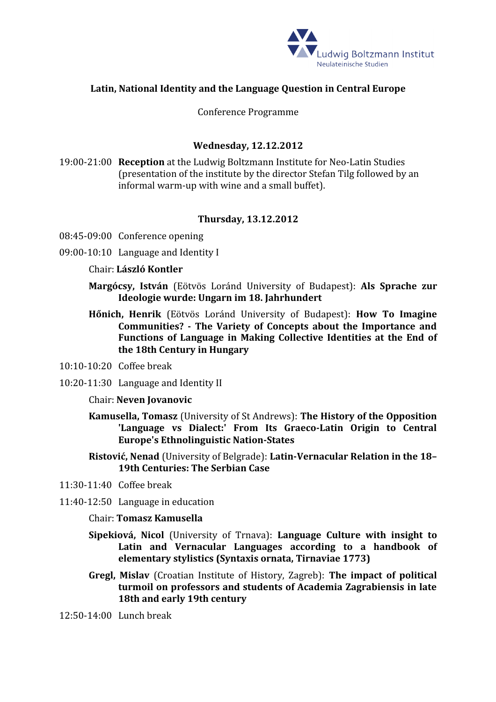

# **Latin, National Identity and the Language Question in Central Europe**

Conference Programme

## **Wednesday, 12.12.2012**

19:00-21:00 **Reception** at the Ludwig Boltzmann Institute for Neo-Latin Studies (presentation of the institute by the director Stefan Tilg followed by an informal warm-up with wine and a small buffet).

### **Thursday, 13.12.2012**

- 08:45-09:00 Conference opening
- 09:00-10:10 Language and Identity I
	- Chair: **László Kontler**
	- **Margócsy, István** (Eötvös Loránd University of Budapest): **Als Sprache zur Ideologie wurde: Ungarn im 18. Jahrhundert**
	- **Hőnich, Henrik** (Eötvös Loránd University of Budapest): **How To Imagine Communities? - The Variety of Concepts about the Importance and Functions of Language in Making Collective Identities at the End of the 18th Century in Hungary**
- 10:10-10:20 Coffee break
- 10:20-11:30 Language and Identity II
	- Chair: **Neven Jovanovic**
	- **Kamusella, Tomasz** (University of St Andrews): **The History of the Opposition 'Language vs Dialect:' From Its Graeco-Latin Origin to Central Europe's Ethnolinguistic Nation-States**
	- **Ristović, Nenad** (University of Belgrade): **Latin-Vernacular Relation in the 18– 19th Centuries: The Serbian Case**
- 11:30-11:40 Coffee break
- 11:40-12:50 Language in education
	- Chair: **Tomasz Kamusella**
	- **Sipekiová, Nicol** (University of Trnava): **Language Culture with insight to Latin and Vernacular Languages according to a handbook of elementary stylistics (Syntaxis ornata, Tirnaviae 1773)**
	- **Gregl, Mislav** (Croatian Institute of History, Zagreb): **The impact of political turmoil on professors and students of Academia Zagrabiensis in late 18th and early 19th century**
- 12:50-14:00 Lunch break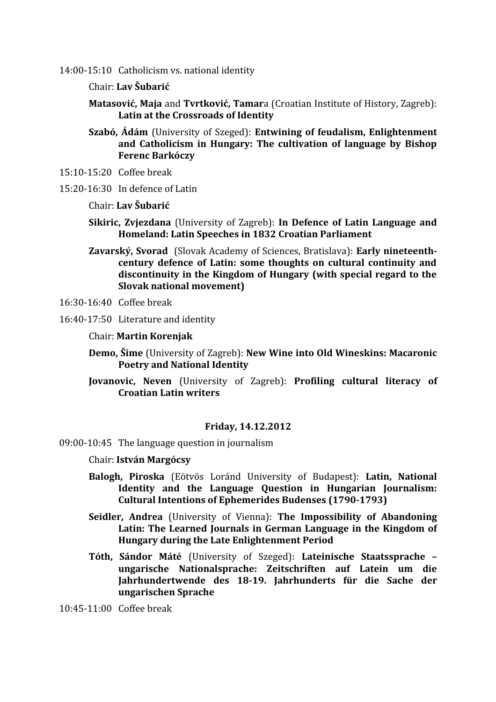14:00-15:10 Catholicism vs. national identity

Chair: **Lav Šubarić**

**Matasović, Maja** and **Tvrtković, Tamar**a (Croatian Institute of History, Zagreb): **Latin at the Crossroads of Identity**

- **Szabó, Ádám** (University of Szeged): **Entwining of feudalism, Enlightenment and Catholicism in Hungary: The cultivation of language by Bishop Ferenc Barkóczy**
- 15:10-15:20 Coffee break
- 15:20-16:30 In defence of Latin

Chair: **Lav Šubarić**

- **Sikiric, Zvjezdana** (University of Zagreb): **In Defence of Latin Language and Homeland: Latin Speeches in 1832 Croatian Parliament**
- **Zavarský, Svorad** (Slovak Academy of Sciences, Bratislava): **Early nineteenthcentury defence of Latin: some thoughts on cultural continuity and discontinuity in the Kingdom of Hungary (with special regard to the Slovak national movement)**
- 16:30-16:40 Coffee break
- 16:40-17:50 Literature and identity

Chair: **Martin Korenjak**

- **Demo, Šime** (University of Zagreb): **New Wine into Old Wineskins: Macaronic Poetry and National Identity**
- **Jovanovic, Neven** (University of Zagreb): **Profiling cultural literacy of Croatian Latin writers**

### **Friday, 14.12.2012**

- 09:00-10:45 The language question in journalism
	- Chair: **István Margócsy**
	- **Balogh, Piroska** (Eötvös Loránd University of Budapest): **Latin, National Identity and the Language Question in Hungarian Journalism: Cultural Intentions of Ephemerides Budenses (1790-1793)**
	- **Seidler, Andrea** (University of Vienna): **The Impossibility of Abandoning Latin: The Learned Journals in German Language in the Kingdom of Hungary during the Late Enlightenment Period**
	- **Tóth, Sándor Máté** (University of Szeged): **Lateinische Staatssprache – ungarische Nationalsprache: Zeitschriften auf Latein um die Jahrhundertwende des 18-19. Jahrhunderts für die Sache der ungarischen Sprache**

10:45-11:00 Coffee break